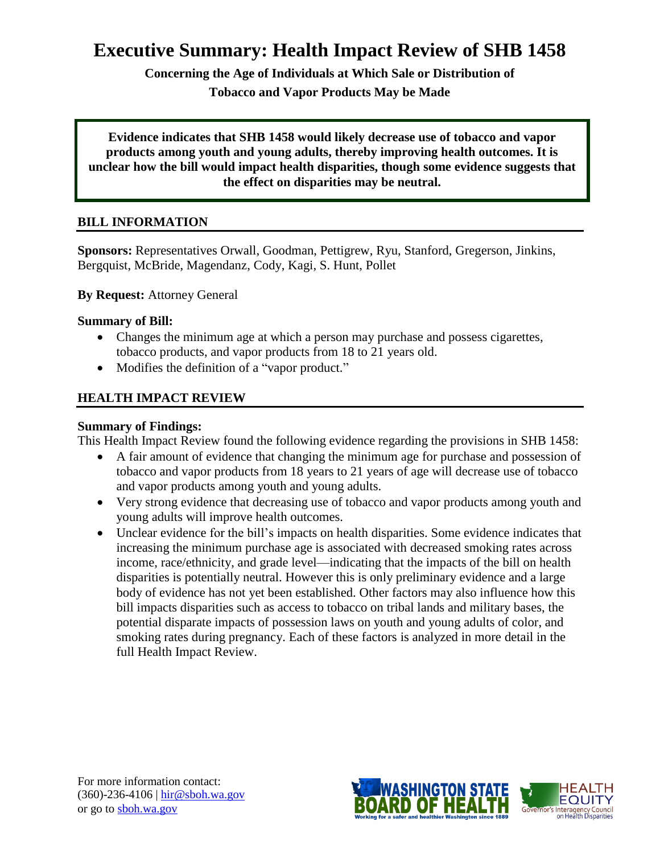# **Executive Summary: Health Impact Review of SHB 1458**

**Concerning the Age of Individuals at Which Sale or Distribution of** 

**Tobacco and Vapor Products May be Made**

**Evidence indicates that SHB 1458 would likely decrease use of tobacco and vapor products among youth and young adults, thereby improving health outcomes. It is unclear how the bill would impact health disparities, though some evidence suggests that the effect on disparities may be neutral.**

# **BILL INFORMATION**

**Sponsors:** Representatives [Orwall,](http://www.leg.wa.gov/house/representatives/pages/default.aspx#orwall) [Goodman,](http://www.leg.wa.gov/house/representatives/pages/default.aspx#goodman) [Pettigrew,](http://www.leg.wa.gov/house/representatives/pages/default.aspx#pettigrew) [Ryu,](http://www.leg.wa.gov/house/representatives/pages/default.aspx#ryu) [Stanford,](http://www.leg.wa.gov/house/representatives/pages/default.aspx#stanford) [Gregerson,](http://www.leg.wa.gov/house/representatives/pages/default.aspx#gregerson) [Jinkins,](http://www.leg.wa.gov/house/representatives/pages/default.aspx#jinkins) [Bergquist,](http://www.leg.wa.gov/house/representatives/pages/default.aspx#bergquist) [McBride,](http://www.leg.wa.gov/house/representatives/pages/default.aspx#mcbride) [Magendanz,](http://www.leg.wa.gov/house/representatives/pages/default.aspx#magendanz) [Cody,](http://www.leg.wa.gov/house/representatives/pages/default.aspx#cody) [Kagi,](http://www.leg.wa.gov/house/representatives/pages/default.aspx#kagi) [S. Hunt,](http://www.leg.wa.gov/house/representatives/pages/default.aspx#hunts) [Pollet](http://www.leg.wa.gov/house/representatives/pages/default.aspx#pollet)

# **By Request:** Attorney General

# **Summary of Bill:**

- Changes the minimum age at which a person may purchase and possess cigarettes, tobacco products, and vapor products from 18 to 21 years old.
- Modifies the definition of a "vapor product."

# **HEALTH IMPACT REVIEW**

# **Summary of Findings:**

This Health Impact Review found the following evidence regarding the provisions in SHB 1458:

- A fair amount of evidence that changing the minimum age for purchase and possession of tobacco and vapor products from 18 years to 21 years of age will decrease use of tobacco and vapor products among youth and young adults.
- Very strong evidence that decreasing use of tobacco and vapor products among youth and young adults will improve health outcomes.
- Unclear evidence for the bill's impacts on health disparities. Some evidence indicates that increasing the minimum purchase age is associated with decreased smoking rates across income, race/ethnicity, and grade level—indicating that the impacts of the bill on health disparities is potentially neutral. However this is only preliminary evidence and a large body of evidence has not yet been established. Other factors may also influence how this bill impacts disparities such as access to tobacco on tribal lands and military bases, the potential disparate impacts of possession laws on youth and young adults of color, and smoking rates during pregnancy. Each of these factors is analyzed in more detail in the full Health Impact Review.

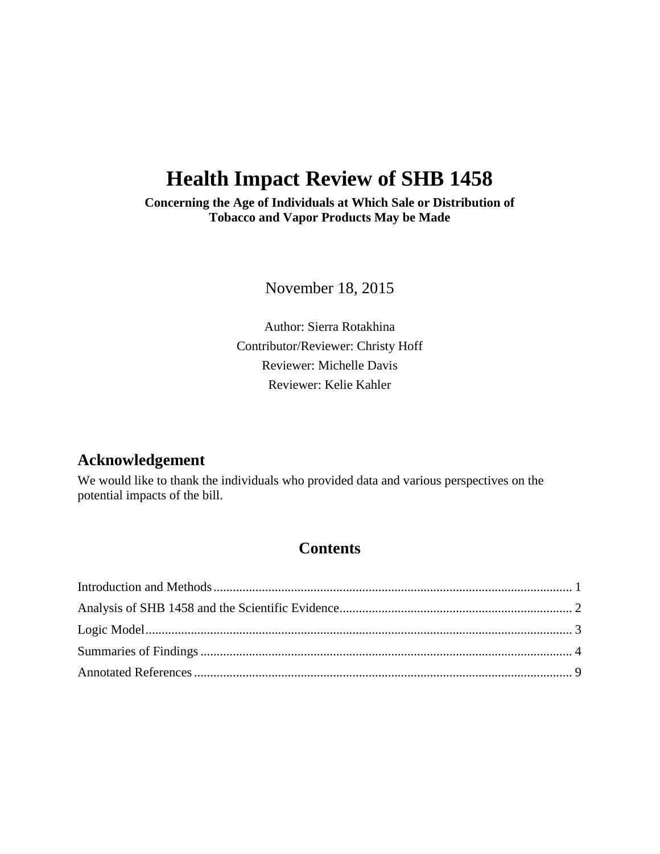# **Health Impact Review of SHB 1458**

**Concerning the Age of Individuals at Which Sale or Distribution of Tobacco and Vapor Products May be Made**

November 18, 2015

Author: Sierra Rotakhina Contributor/Reviewer: Christy Hoff Reviewer: Michelle Davis Reviewer: Kelie Kahler

# **Acknowledgement**

We would like to thank the individuals who provided data and various perspectives on the potential impacts of the bill.

# **Contents**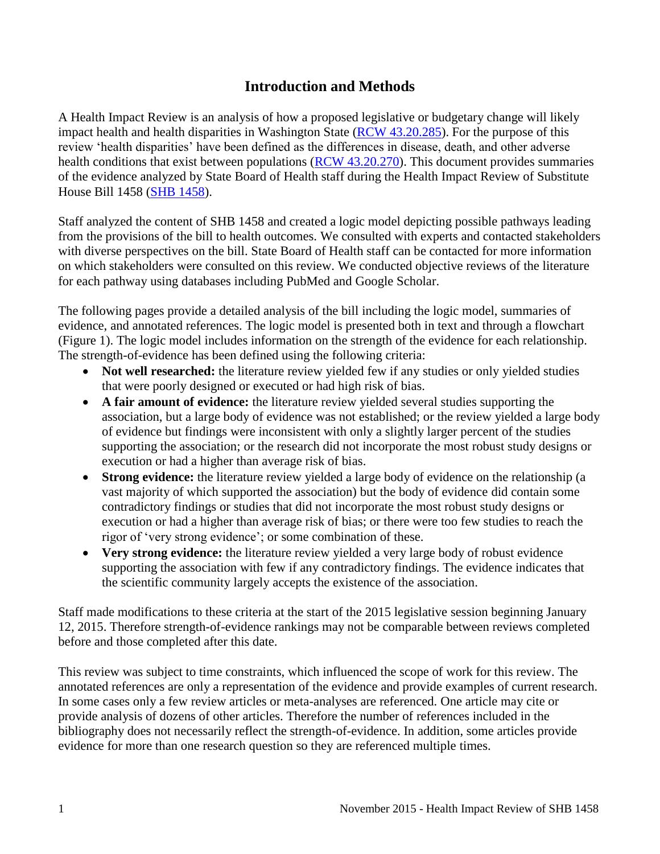# **Introduction and Methods**

<span id="page-2-0"></span>A Health Impact Review is an analysis of how a proposed legislative or budgetary change will likely impact health and health disparities in Washington State [\(RCW 43.20.285\)](http://apps.leg.wa.gov/rcw/default.aspx?cite=43.20.285). For the purpose of this review 'health disparities' have been defined as the differences in disease, death, and other adverse health conditions that exist between populations [\(RCW 43.20.270\)](http://apps.leg.wa.gov/rcw/default.aspx?cite=43.20.270). This document provides summaries of the evidence analyzed by State Board of Health staff during the Health Impact Review of Substitute House Bill 1458 [\(SHB 1458\)](http://lawfilesext.leg.wa.gov/biennium/2015-16/Pdf/Bills/House%20Bills/1458-S.pdf).

Staff analyzed the content of SHB 1458 and created a logic model depicting possible pathways leading from the provisions of the bill to health outcomes. We consulted with experts and contacted stakeholders with diverse perspectives on the bill. State Board of Health staff can be contacted for more information on which stakeholders were consulted on this review. We conducted objective reviews of the literature for each pathway using databases including PubMed and Google Scholar.

The following pages provide a detailed analysis of the bill including the logic model, summaries of evidence, and annotated references. The logic model is presented both in text and through a flowchart (Figure 1). The logic model includes information on the strength of the evidence for each relationship. The strength-of-evidence has been defined using the following criteria:

- Not well researched: the literature review yielded few if any studies or only yielded studies that were poorly designed or executed or had high risk of bias.
- **A fair amount of evidence:** the literature review yielded several studies supporting the association, but a large body of evidence was not established; or the review yielded a large body of evidence but findings were inconsistent with only a slightly larger percent of the studies supporting the association; or the research did not incorporate the most robust study designs or execution or had a higher than average risk of bias.
- **Strong evidence:** the literature review yielded a large body of evidence on the relationship (a vast majority of which supported the association) but the body of evidence did contain some contradictory findings or studies that did not incorporate the most robust study designs or execution or had a higher than average risk of bias; or there were too few studies to reach the rigor of 'very strong evidence'; or some combination of these.
- **Very strong evidence:** the literature review yielded a very large body of robust evidence supporting the association with few if any contradictory findings. The evidence indicates that the scientific community largely accepts the existence of the association.

Staff made modifications to these criteria at the start of the 2015 legislative session beginning January 12, 2015. Therefore strength-of-evidence rankings may not be comparable between reviews completed before and those completed after this date.

This review was subject to time constraints, which influenced the scope of work for this review. The annotated references are only a representation of the evidence and provide examples of current research. In some cases only a few review articles or meta-analyses are referenced. One article may cite or provide analysis of dozens of other articles. Therefore the number of references included in the bibliography does not necessarily reflect the strength-of-evidence. In addition, some articles provide evidence for more than one research question so they are referenced multiple times.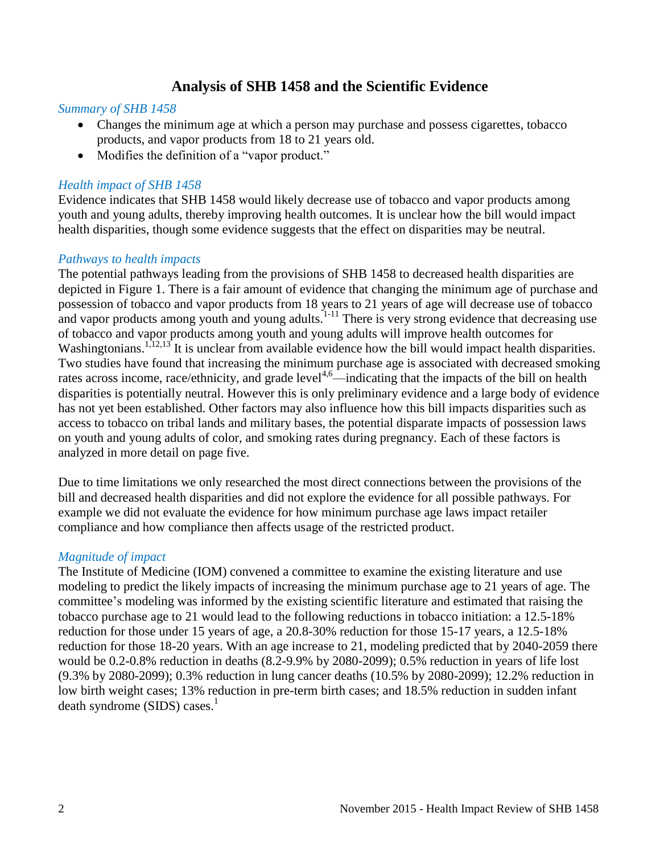# **Analysis of SHB 1458 and the Scientific Evidence**

#### <span id="page-3-0"></span>*Summary of SHB 1458*

- Changes the minimum age at which a person may purchase and possess cigarettes, tobacco products, and vapor products from 18 to 21 years old.
- Modifies the definition of a "vapor product."

#### *Health impact of SHB 1458*

Evidence indicates that SHB 1458 would likely decrease use of tobacco and vapor products among youth and young adults, thereby improving health outcomes. It is unclear how the bill would impact health disparities, though some evidence suggests that the effect on disparities may be neutral.

#### *Pathways to health impacts*

The potential pathways leading from the provisions of SHB 1458 to decreased health disparities are depicted in Figure 1. There is a fair amount of evidence that changing the minimum age of purchase and possession of tobacco and vapor products from 18 years to 21 years of age will decrease use of tobacco and vapor products among youth and young adults. $1-11$  There is very strong evidence that decreasing use of tobacco and vapor products among youth and young adults will improve health outcomes for Washingtonians.<sup>[1,](#page-10-1)[12,](#page-16-0)[13](#page-16-1)</sup> It is unclear from available evidence how the bill would impact health disparities. Two studies have found that increasing the minimum purchase age is associated with decreased smoking rates across income, race/ethnicity, and grade level<sup>[4,](#page-11-0)[6](#page-12-0)</sup>—indicating that the impacts of the bill on health disparities is potentially neutral. However this is only preliminary evidence and a large body of evidence has not yet been established. Other factors may also influence how this bill impacts disparities such as access to tobacco on tribal lands and military bases, the potential disparate impacts of possession laws on youth and young adults of color, and smoking rates during pregnancy. Each of these factors is analyzed in more detail on page five.

Due to time limitations we only researched the most direct connections between the provisions of the bill and decreased health disparities and did not explore the evidence for all possible pathways. For example we did not evaluate the evidence for how minimum purchase age laws impact retailer compliance and how compliance then affects usage of the restricted product.

#### *Magnitude of impact*

The Institute of Medicine (IOM) convened a committee to examine the existing literature and use modeling to predict the likely impacts of increasing the minimum purchase age to 21 years of age. The committee's modeling was informed by the existing scientific literature and estimated that raising the tobacco purchase age to 21 would lead to the following reductions in tobacco initiation: a 12.5-18% reduction for those under 15 years of age, a 20.8-30% reduction for those 15-17 years, a 12.5-18% reduction for those 18-20 years. With an age increase to 21, modeling predicted that by 2040-2059 there would be 0.2-0.8% reduction in deaths (8.2-9.9% by 2080-2099); 0.5% reduction in years of life lost (9.3% by 2080-2099); 0.3% reduction in lung cancer deaths (10.5% by 2080-2099); 12.2% reduction in low birth weight cases; 13% reduction in pre-term birth cases; and 18.5% reduction in sudden infant death syndrome (SIDS) cases[.](#page-10-1) $<sup>1</sup>$ </sup>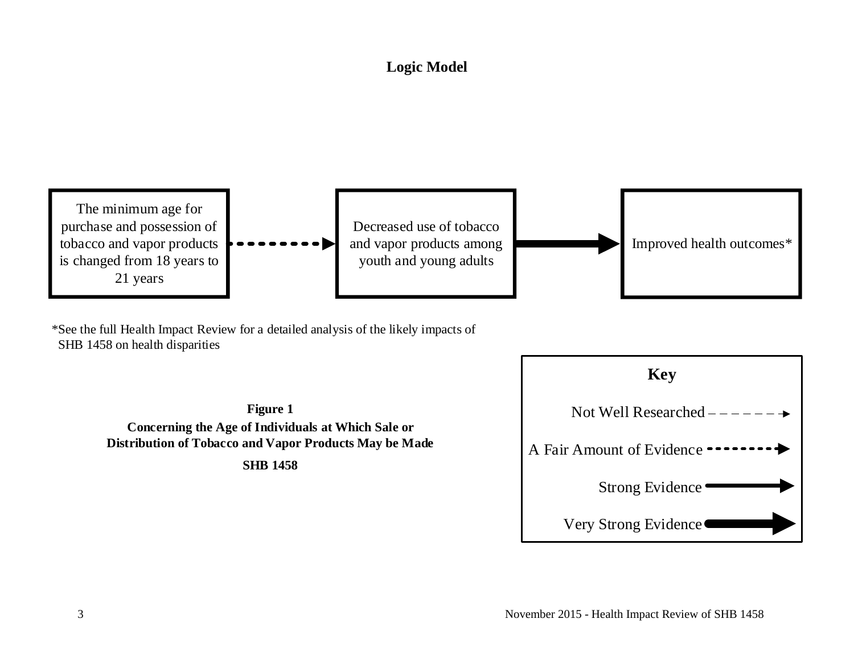# **Logic Model**



\*See the full Health Impact Review for a detailed analysis of the likely impacts of SHB 1458 on health disparities

> **Figure 1 Concerning the Age of Individuals at Which Sale or Distribution of Tobacco and Vapor Products May be Made SHB 1458**

<span id="page-4-0"></span>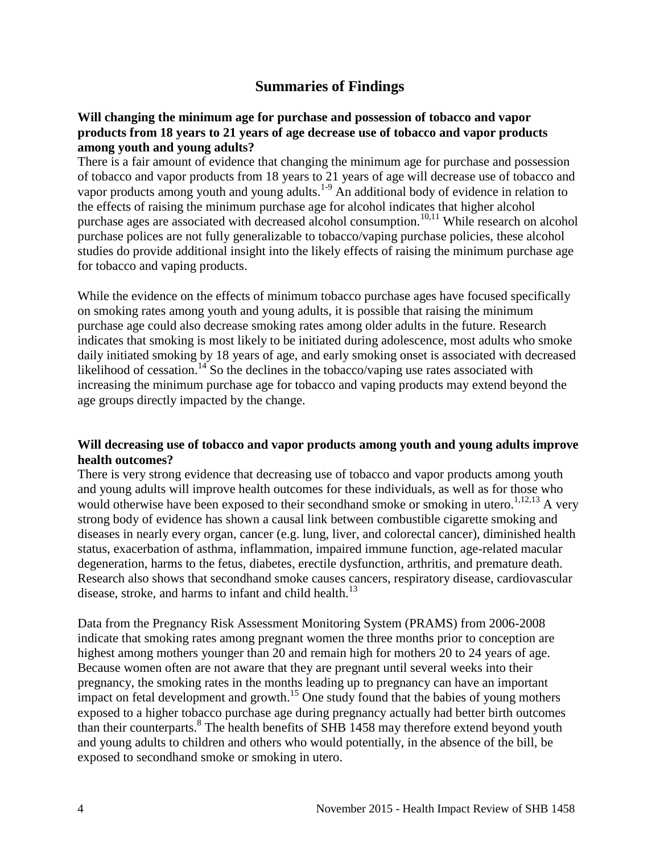# **Summaries of Findings**

#### <span id="page-5-0"></span>**Will changing the minimum age for purchase and possession of tobacco and vapor products from 18 years to 21 years of age decrease use of tobacco and vapor products among youth and young adults?**

There is a fair amount of evidence that changing the minimum age for purchase and possession of tobacco and vapor products from 18 years to 21 years of age will decrease use of tobacco and vapor products among youth and young adults.<sup>[1-9](#page-10-1)</sup> An additional body of evidence in relation to the effects of raising the minimum purchase age for alcohol indicates that higher alcohol purchase ages are associated with decreased alcohol consumption.<sup>[10](#page-15-0)[,11](#page-15-1)</sup> While research on alcohol purchase polices are not fully generalizable to tobacco/vaping purchase policies, these alcohol studies do provide additional insight into the likely effects of raising the minimum purchase age for tobacco and vaping products.

While the evidence on the effects of minimum tobacco purchase ages have focused specifically on smoking rates among youth and young adults, it is possible that raising the minimum purchase age could also decrease smoking rates among older adults in the future. Research indicates that smoking is most likely to be initiated during adolescence, most adults who smoke daily initiated smoking by 18 years of age, and early smoking onset is associated with decreased likelihood of cessation.<sup>[14](#page-17-0)</sup> So the declines in the tobacco/vaping use rates associated with increasing the minimum purchase age for tobacco and vaping products may extend beyond the age groups directly impacted by the change.

### **Will decreasing use of tobacco and vapor products among youth and young adults improve health outcomes?**

There is very strong evidence that decreasing use of tobacco and vapor products among youth and young adults will improve health outcomes for these individuals, as well as for those who would otherwise have been exposed to their secondhand smoke or smoking in utero.<sup>[1](#page-10-1)[,12](#page-16-0)[,13](#page-16-1)</sup> A very strong body of evidence has shown a causal link between combustible cigarette smoking and diseases in nearly every organ, cancer (e.g. lung, liver, and colorectal cancer), diminished health status, exacerbation of asthma, inflammation, impaired immune function, age-related macular degeneration, harms to the fetus, diabetes, erectile dysfunction, arthritis, and premature death. Research also shows that secondhand smoke causes cancers, respiratory disease, cardiovascular disease, stroke, and harms to infant and child health.<sup>[13](#page-16-1)</sup>

Data from the Pregnancy Risk Assessment Monitoring System (PRAMS) from 2006-2008 indicate that smoking rates among pregnant women the three months prior to conception are highest among mothers younger than 20 and remain high for mothers 20 to 24 years of age. Because women often are not aware that they are pregnant until several weeks into their pregnancy, the smoking rates in the months leading up to pregnancy can have an important impact on fetal development and growth.<sup>[15](#page-17-1)</sup> One study found that the babies of young mothers exposed to a higher tobacco purchase age during pregnancy actually had better birth outcomes than their counterparts. [8](#page-14-0) The health benefits of SHB 1458 may therefore extend beyond youth and young adults to children and others who would potentially, in the absence of the bill, be exposed to secondhand smoke or smoking in utero.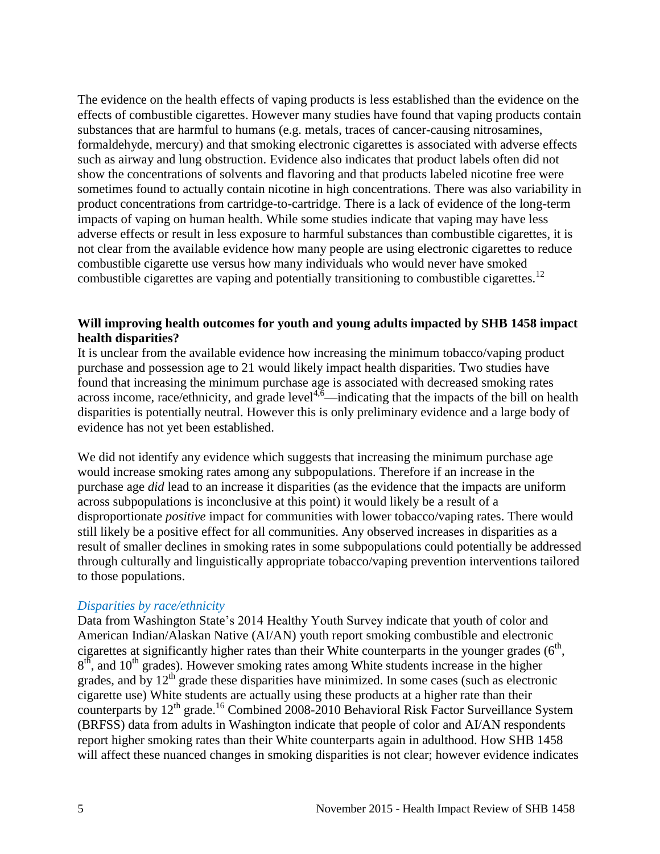The evidence on the health effects of vaping products is less established than the evidence on the effects of combustible cigarettes. However many studies have found that vaping products contain substances that are harmful to humans (e.g. metals, traces of cancer-causing nitrosamines, formaldehyde, mercury) and that smoking electronic cigarettes is associated with adverse effects such as airway and lung obstruction. Evidence also indicates that product labels often did not show the concentrations of solvents and flavoring and that products labeled nicotine free were sometimes found to actually contain nicotine in high concentrations. There was also variability in product concentrations from cartridge-to-cartridge. There is a lack of evidence of the long-term impacts of vaping on human health. While some studies indicate that vaping may have less adverse effects or result in less exposure to harmful substances than combustible cigarettes, it is not clear from the available evidence how many people are using electronic cigarettes to reduce combustible cigarette use versus how many individuals who would never have smoked combustible cigarettes are vaping and potentially transitioning to combustible cigarettes.<sup>[12](#page-16-0)</sup>

## **Will improving health outcomes for youth and young adults impacted by SHB 1458 impact health disparities?**

It is unclear from the available evidence how increasing the minimum tobacco/vaping product purchase and possession age to 21 would likely impact health disparities. Two studies have found that increasing the minimum purchase age is associated with decreased smoking rates  $\frac{1}{2}$  across income, race/ethnicity, and grade level<sup>[4](#page-11-0)[,6](#page-12-0)</sup>—indicating that the impacts of the bill on health disparities is potentially neutral. However this is only preliminary evidence and a large body of evidence has not yet been established.

We did not identify any evidence which suggests that increasing the minimum purchase age would increase smoking rates among any subpopulations. Therefore if an increase in the purchase age *did* lead to an increase it disparities (as the evidence that the impacts are uniform across subpopulations is inconclusive at this point) it would likely be a result of a disproportionate *positive* impact for communities with lower tobacco/vaping rates. There would still likely be a positive effect for all communities. Any observed increases in disparities as a result of smaller declines in smoking rates in some subpopulations could potentially be addressed through culturally and linguistically appropriate tobacco/vaping prevention interventions tailored to those populations.

#### *Disparities by race/ethnicity*

Data from Washington State's 2014 Healthy Youth Survey indicate that youth of color and American Indian/Alaskan Native (AI/AN) youth report smoking combustible and electronic cigarettes at significantly higher rates than their White counterparts in the younger grades  $(6<sup>th</sup>$ ,  $8<sup>th</sup>$ , and  $10<sup>th</sup>$  grades). However smoking rates among White students increase in the higher grades, and by  $12<sup>th</sup>$  grade these disparities have minimized. In some cases (such as electronic cigarette use) White students are actually using these products at a higher rate than their counterparts by 12<sup>th</sup> grade.<sup>[16](#page-17-2)</sup> Combined 2008-2010 Behavioral Risk Factor Surveillance System (BRFSS) data from adults in Washington indicate that people of color and AI/AN respondents report higher smoking rates than their White counterparts again in adulthood. How SHB 1458 will affect these nuanced changes in smoking disparities is not clear; however evidence indicates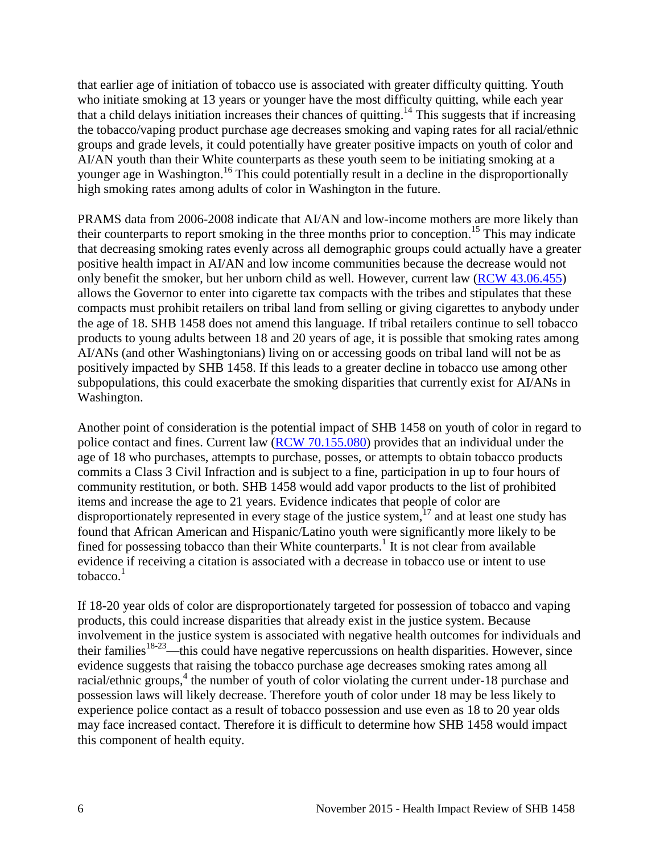that earlier age of initiation of tobacco use is associated with greater difficulty quitting. Youth who initiate smoking at 13 years or younger have the most difficulty quitting, while each year that a child delays initiation increases their chances of quitting. [14](#page-17-0) This suggests that if increasing the tobacco/vaping product purchase age decreases smoking and vaping rates for all racial/ethnic groups and grade levels, it could potentially have greater positive impacts on youth of color and AI/AN youth than their White counterparts as these youth seem to be initiating smoking at a younger age in Washington.<sup>[16](#page-17-2)</sup> This could potentially result in a decline in the disproportionally high smoking rates among adults of color in Washington in the future.

PRAMS data from 2006-2008 indicate that AI/AN and low-income mothers are more likely than their counterparts to report smoking in the three months prior to conception.<sup>[15](#page-17-1)</sup> This may indicate that decreasing smoking rates evenly across all demographic groups could actually have a greater positive health impact in AI/AN and low income communities because the decrease would not only benefit the smoker, but her unborn child as well. However, current law [\(RCW 43.06.455\)](http://apps.leg.wa.gov/rcw/default.aspx?cite=43.06.455) allows the Governor to enter into cigarette tax compacts with the tribes and stipulates that these compacts must prohibit retailers on tribal land from selling or giving cigarettes to anybody under the age of 18. SHB 1458 does not amend this language. If tribal retailers continue to sell tobacco products to young adults between 18 and 20 years of age, it is possible that smoking rates among AI/ANs (and other Washingtonians) living on or accessing goods on tribal land will not be as positively impacted by SHB 1458. If this leads to a greater decline in tobacco use among other subpopulations, this could exacerbate the smoking disparities that currently exist for AI/ANs in Washington.

Another point of consideration is the potential impact of SHB 1458 on youth of color in regard to police contact and fines. Current law [\(RCW 70.155.080\)](http://apps.leg.wa.gov/rcw/default.aspx?cite=70.155.080) provides that an individual under the age of 18 who purchases, attempts to purchase, posses, or attempts to obtain tobacco products commits a Class 3 Civil Infraction and is subject to a fine, participation in up to four hours of community restitution, or both. SHB 1458 would add vapor products to the list of prohibited items and increase the age to 21 years. Evidence indicates that people of color are disproportionately represented in every stage of the justice system,  $17$  and at least one study has found that African American and Hispanic/Latino youth were significantly more likely to be fined for possessing tobacco than their White counterparts[.](#page-10-1)<sup>1</sup> It is not clear from available evidence if receiving a citation is associated with a decrease in tobacco use or intent to use tobacco.<sup>[1](#page-10-1)</sup>

If 18-20 year olds of color are disproportionately targeted for possession of tobacco and vaping products, this could increase disparities that already exist in the justice system. Because involvement in the justice system is associated with negative health outcomes for individuals and their families<sup>[18-23](#page-19-0)</sup>—this could have negative repercussions on health disparities. However, since evidence suggests that raising the tobacco purchase age decreases smoking rates among all racial/ethnic groups,<sup>[4](#page-11-0)</sup> the number of youth of color violating the current under-18 purchase and possession laws will likely decrease. Therefore youth of color under 18 may be less likely to experience police contact as a result of tobacco possession and use even as 18 to 20 year olds may face increased contact. Therefore it is difficult to determine how SHB 1458 would impact this component of health equity.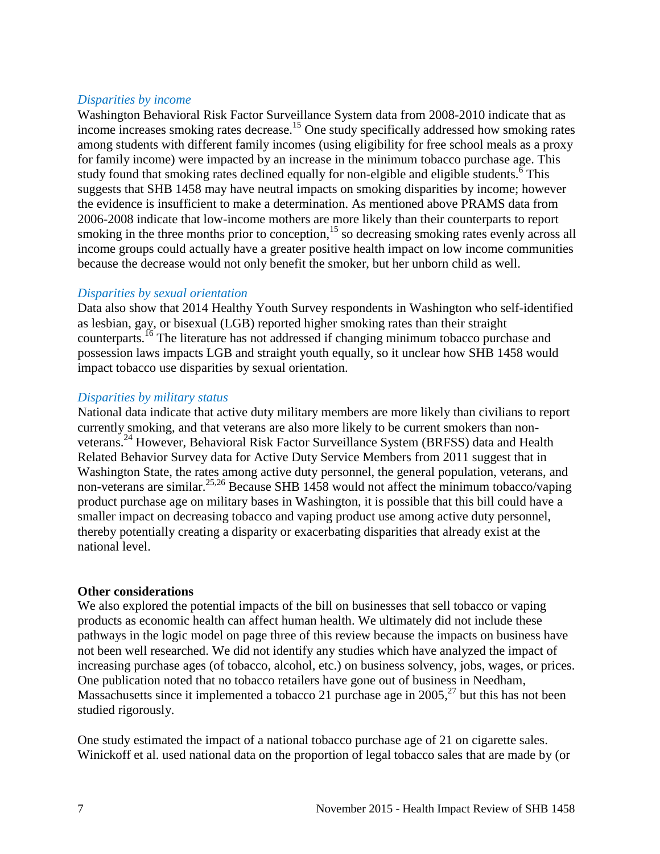### *Disparities by income*

Washington Behavioral Risk Factor Surveillance System data from 2008-2010 indicate that as income increases smoking rates decrease.<sup>[15](#page-17-1)</sup> One study specifically addressed how smoking rates among students with different family incomes (using eligibility for free school meals as a proxy for family income) were impacted by an increase in the minimum tobacco purchase age. This study found that smoking rates declined equally for non-elgible and eligible students[.](#page-12-0)  $\frac{6}{10}$  This suggests that SHB 1458 may have neutral impacts on smoking disparities by income; however the evidence is insufficient to make a determination. As mentioned above PRAMS data from 2006-2008 indicate that low-income mothers are more likely than their counterparts to report smoking in the three months prior to conception, $15$  so decreasing smoking rates evenly across all income groups could actually have a greater positive health impact on low income communities because the decrease would not only benefit the smoker, but her unborn child as well.

### *Disparities by sexual orientation*

Data also show that 2014 Healthy Youth Survey respondents in Washington who self-identified as lesbian, gay, or bisexual (LGB) reported higher smoking rates than their straight counterparts.<sup>[16](#page-17-2)</sup> The literature has not addressed if changing minimum tobacco purchase and possession laws impacts LGB and straight youth equally, so it unclear how SHB 1458 would impact tobacco use disparities by sexual orientation.

### *Disparities by military status*

National data indicate that active duty military members are more likely than civilians to report currently smoking, and that veterans are also more likely to be current smokers than non-veterans.<sup>[24](#page-20-0)</sup> However, Behavioral Risk Factor Surveillance System (BRFSS) data and Health Related Behavior Survey data for Active Duty Service Members from 2011 suggest that in Washington State, the rates among active duty personnel, the general population, veterans, and non-veterans are similar.<sup>[25](#page-20-1)[,26](#page-21-0)</sup> Because SHB 1458 would not affect the minimum tobacco/vaping product purchase age on military bases in Washington, it is possible that this bill could have a smaller impact on decreasing tobacco and vaping product use among active duty personnel, thereby potentially creating a disparity or exacerbating disparities that already exist at the national level.

#### **Other considerations**

We also explored the potential impacts of the bill on businesses that sell tobacco or vaping products as economic health can affect human health. We ultimately did not include these pathways in the logic model on page three of this review because the impacts on business have not been well researched. We did not identify any studies which have analyzed the impact of increasing purchase ages (of tobacco, alcohol, etc.) on business solvency, jobs, wages, or prices. One publication noted that no tobacco retailers have gone out of business in Needham, Massachusetts since it implemented a tobacco 21 purchase age in 2005,<sup>[27](#page-21-1)</sup> but this has not been studied rigorously.

One study estimated the impact of a national tobacco purchase age of 21 on cigarette sales. Winickoff et al. used national data on the proportion of legal tobacco sales that are made by (or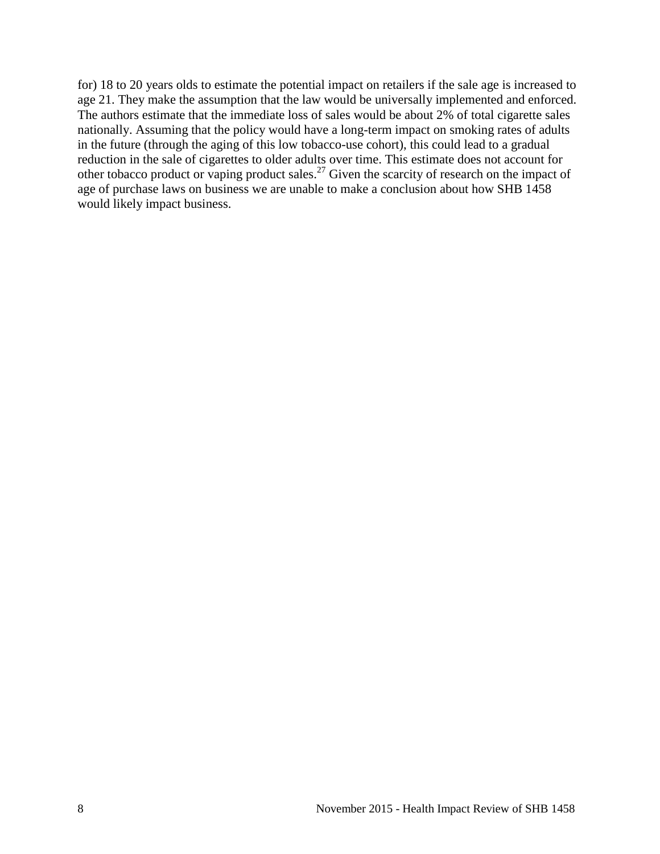for) 18 to 20 years olds to estimate the potential impact on retailers if the sale age is increased to age 21. They make the assumption that the law would be universally implemented and enforced. The authors estimate that the immediate loss of sales would be about 2% of total cigarette sales nationally. Assuming that the policy would have a long-term impact on smoking rates of adults in the future (through the aging of this low tobacco-use cohort), this could lead to a gradual reduction in the sale of cigarettes to older adults over time. This estimate does not account for other tobacco product or vaping product sales.<sup>[27](#page-21-1)</sup> Given the scarcity of research on the impact of age of purchase laws on business we are unable to make a conclusion about how SHB 1458 would likely impact business.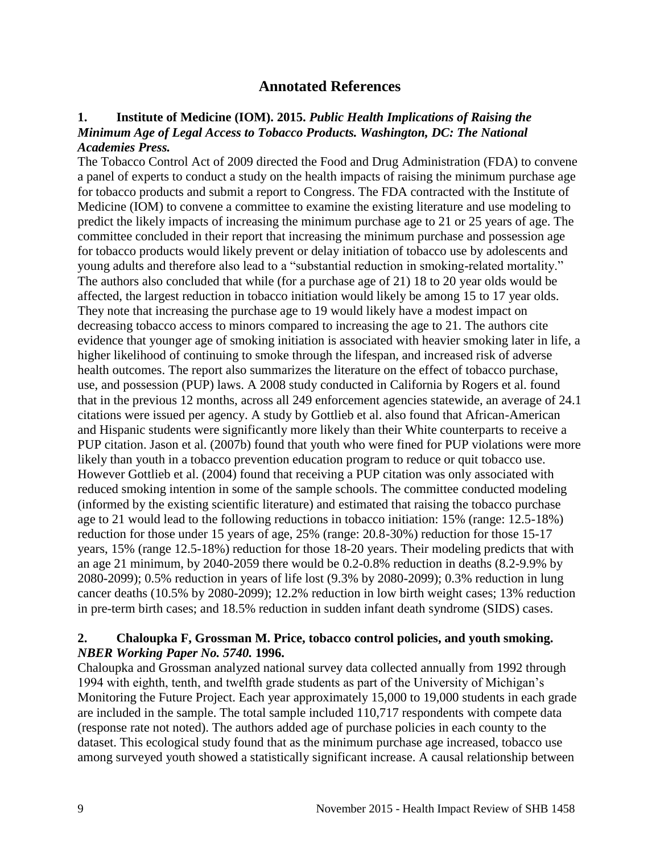# **Annotated References**

#### <span id="page-10-1"></span><span id="page-10-0"></span>**1. Institute of Medicine (IOM). 2015.** *Public Health Implications of Raising the Minimum Age of Legal Access to Tobacco Products. Washington, DC: The National Academies Press.*

The Tobacco Control Act of 2009 directed the Food and Drug Administration (FDA) to convene a panel of experts to conduct a study on the health impacts of raising the minimum purchase age for tobacco products and submit a report to Congress. The FDA contracted with the Institute of Medicine (IOM) to convene a committee to examine the existing literature and use modeling to predict the likely impacts of increasing the minimum purchase age to 21 or 25 years of age. The committee concluded in their report that increasing the minimum purchase and possession age for tobacco products would likely prevent or delay initiation of tobacco use by adolescents and young adults and therefore also lead to a "substantial reduction in smoking-related mortality." The authors also concluded that while (for a purchase age of 21) 18 to 20 year olds would be affected, the largest reduction in tobacco initiation would likely be among 15 to 17 year olds. They note that increasing the purchase age to 19 would likely have a modest impact on decreasing tobacco access to minors compared to increasing the age to 21. The authors cite evidence that younger age of smoking initiation is associated with heavier smoking later in life, a higher likelihood of continuing to smoke through the lifespan, and increased risk of adverse health outcomes. The report also summarizes the literature on the effect of tobacco purchase, use, and possession (PUP) laws. A 2008 study conducted in California by Rogers et al. found that in the previous 12 months, across all 249 enforcement agencies statewide, an average of 24.1 citations were issued per agency. A study by Gottlieb et al. also found that African-American and Hispanic students were significantly more likely than their White counterparts to receive a PUP citation. Jason et al. (2007b) found that youth who were fined for PUP violations were more likely than youth in a tobacco prevention education program to reduce or quit tobacco use. However Gottlieb et al. (2004) found that receiving a PUP citation was only associated with reduced smoking intention in some of the sample schools. The committee conducted modeling (informed by the existing scientific literature) and estimated that raising the tobacco purchase age to 21 would lead to the following reductions in tobacco initiation: 15% (range: 12.5-18%) reduction for those under 15 years of age, 25% (range: 20.8-30%) reduction for those 15-17 years, 15% (range 12.5-18%) reduction for those 18-20 years. Their modeling predicts that with an age 21 minimum, by 2040-2059 there would be 0.2-0.8% reduction in deaths (8.2-9.9% by 2080-2099); 0.5% reduction in years of life lost (9.3% by 2080-2099); 0.3% reduction in lung cancer deaths (10.5% by 2080-2099); 12.2% reduction in low birth weight cases; 13% reduction in pre-term birth cases; and 18.5% reduction in sudden infant death syndrome (SIDS) cases.

#### **2. Chaloupka F, Grossman M. Price, tobacco control policies, and youth smoking.**  *NBER Working Paper No. 5740.* **1996.**

Chaloupka and Grossman analyzed national survey data collected annually from 1992 through 1994 with eighth, tenth, and twelfth grade students as part of the University of Michigan's Monitoring the Future Project. Each year approximately 15,000 to 19,000 students in each grade are included in the sample. The total sample included 110,717 respondents with compete data (response rate not noted). The authors added age of purchase policies in each county to the dataset. This ecological study found that as the minimum purchase age increased, tobacco use among surveyed youth showed a statistically significant increase. A causal relationship between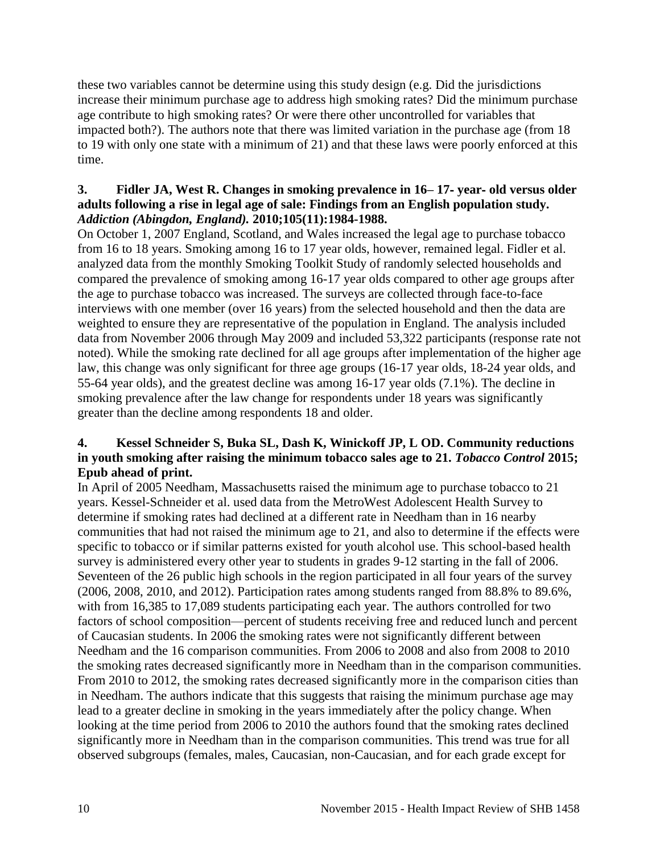these two variables cannot be determine using this study design (e.g. Did the jurisdictions increase their minimum purchase age to address high smoking rates? Did the minimum purchase age contribute to high smoking rates? Or were there other uncontrolled for variables that impacted both?). The authors note that there was limited variation in the purchase age (from 18 to 19 with only one state with a minimum of 21) and that these laws were poorly enforced at this time.

# **3. Fidler JA, West R. Changes in smoking prevalence in 16– 17**‐ **year**‐ **old versus older adults following a rise in legal age of sale: Findings from an English population study.**  *Addiction (Abingdon, England).* **2010;105(11):1984-1988.**

On October 1, 2007 England, Scotland, and Wales increased the legal age to purchase tobacco from 16 to 18 years. Smoking among 16 to 17 year olds, however, remained legal. Fidler et al. analyzed data from the monthly Smoking Toolkit Study of randomly selected households and compared the prevalence of smoking among 16-17 year olds compared to other age groups after the age to purchase tobacco was increased. The surveys are collected through face-to-face interviews with one member (over 16 years) from the selected household and then the data are weighted to ensure they are representative of the population in England. The analysis included data from November 2006 through May 2009 and included 53,322 participants (response rate not noted). While the smoking rate declined for all age groups after implementation of the higher age law, this change was only significant for three age groups (16-17 year olds, 18-24 year olds, and 55-64 year olds), and the greatest decline was among 16-17 year olds (7.1%). The decline in smoking prevalence after the law change for respondents under 18 years was significantly greater than the decline among respondents 18 and older.

# <span id="page-11-0"></span>**4. Kessel Schneider S, Buka SL, Dash K, Winickoff JP, L OD. Community reductions in youth smoking after raising the minimum tobacco sales age to 21.** *Tobacco Control* **2015; Epub ahead of print.**

In April of 2005 Needham, Massachusetts raised the minimum age to purchase tobacco to 21 years. Kessel-Schneider et al. used data from the MetroWest Adolescent Health Survey to determine if smoking rates had declined at a different rate in Needham than in 16 nearby communities that had not raised the minimum age to 21, and also to determine if the effects were specific to tobacco or if similar patterns existed for youth alcohol use. This school-based health survey is administered every other year to students in grades 9-12 starting in the fall of 2006. Seventeen of the 26 public high schools in the region participated in all four years of the survey (2006, 2008, 2010, and 2012). Participation rates among students ranged from 88.8% to 89.6%, with from 16,385 to 17,089 students participating each year. The authors controlled for two factors of school composition—percent of students receiving free and reduced lunch and percent of Caucasian students. In 2006 the smoking rates were not significantly different between Needham and the 16 comparison communities. From 2006 to 2008 and also from 2008 to 2010 the smoking rates decreased significantly more in Needham than in the comparison communities. From 2010 to 2012, the smoking rates decreased significantly more in the comparison cities than in Needham. The authors indicate that this suggests that raising the minimum purchase age may lead to a greater decline in smoking in the years immediately after the policy change. When looking at the time period from 2006 to 2010 the authors found that the smoking rates declined significantly more in Needham than in the comparison communities. This trend was true for all observed subgroups (females, males, Caucasian, non-Caucasian, and for each grade except for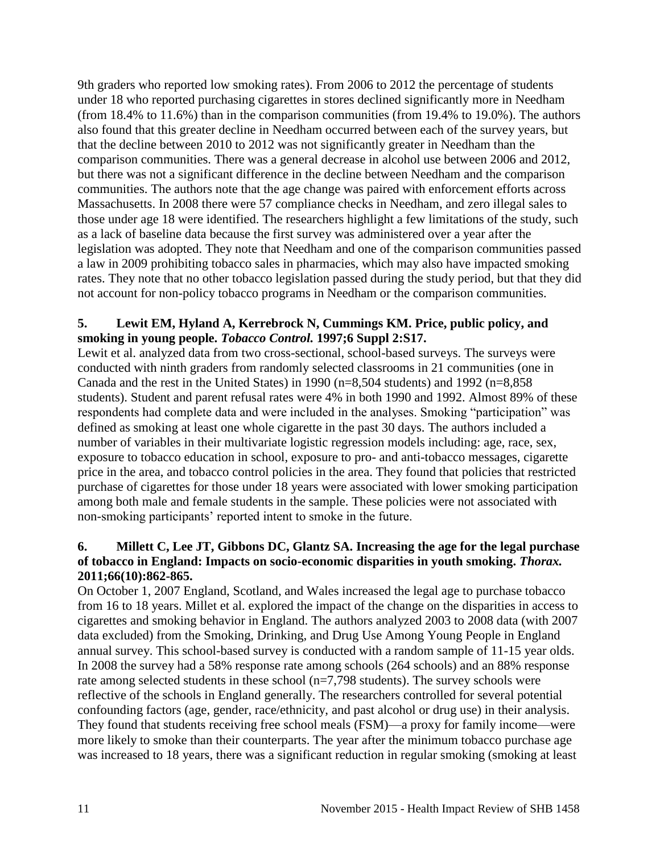9th graders who reported low smoking rates). From 2006 to 2012 the percentage of students under 18 who reported purchasing cigarettes in stores declined significantly more in Needham (from 18.4% to 11.6%) than in the comparison communities (from 19.4% to 19.0%). The authors also found that this greater decline in Needham occurred between each of the survey years, but that the decline between 2010 to 2012 was not significantly greater in Needham than the comparison communities. There was a general decrease in alcohol use between 2006 and 2012, but there was not a significant difference in the decline between Needham and the comparison communities. The authors note that the age change was paired with enforcement efforts across Massachusetts. In 2008 there were 57 compliance checks in Needham, and zero illegal sales to those under age 18 were identified. The researchers highlight a few limitations of the study, such as a lack of baseline data because the first survey was administered over a year after the legislation was adopted. They note that Needham and one of the comparison communities passed a law in 2009 prohibiting tobacco sales in pharmacies, which may also have impacted smoking rates. They note that no other tobacco legislation passed during the study period, but that they did not account for non-policy tobacco programs in Needham or the comparison communities.

# **5. Lewit EM, Hyland A, Kerrebrock N, Cummings KM. Price, public policy, and smoking in young people.** *Tobacco Control.* **1997;6 Suppl 2:S17.**

Lewit et al. analyzed data from two cross-sectional, school-based surveys. The surveys were conducted with ninth graders from randomly selected classrooms in 21 communities (one in Canada and the rest in the United States) in 1990 ( $n=8,504$  students) and 1992 ( $n=8,858$ students). Student and parent refusal rates were 4% in both 1990 and 1992. Almost 89% of these respondents had complete data and were included in the analyses. Smoking "participation" was defined as smoking at least one whole cigarette in the past 30 days. The authors included a number of variables in their multivariate logistic regression models including: age, race, sex, exposure to tobacco education in school, exposure to pro- and anti-tobacco messages, cigarette price in the area, and tobacco control policies in the area. They found that policies that restricted purchase of cigarettes for those under 18 years were associated with lower smoking participation among both male and female students in the sample. These policies were not associated with non-smoking participants' reported intent to smoke in the future.

# <span id="page-12-0"></span>**6. Millett C, Lee JT, Gibbons DC, Glantz SA. Increasing the age for the legal purchase of tobacco in England: Impacts on socio-economic disparities in youth smoking.** *Thorax.*  **2011;66(10):862-865.**

On October 1, 2007 England, Scotland, and Wales increased the legal age to purchase tobacco from 16 to 18 years. Millet et al. explored the impact of the change on the disparities in access to cigarettes and smoking behavior in England. The authors analyzed 2003 to 2008 data (with 2007 data excluded) from the Smoking, Drinking, and Drug Use Among Young People in England annual survey. This school-based survey is conducted with a random sample of 11-15 year olds. In 2008 the survey had a 58% response rate among schools (264 schools) and an 88% response rate among selected students in these school (n=7,798 students). The survey schools were reflective of the schools in England generally. The researchers controlled for several potential confounding factors (age, gender, race/ethnicity, and past alcohol or drug use) in their analysis. They found that students receiving free school meals (FSM)—a proxy for family income—were more likely to smoke than their counterparts. The year after the minimum tobacco purchase age was increased to 18 years, there was a significant reduction in regular smoking (smoking at least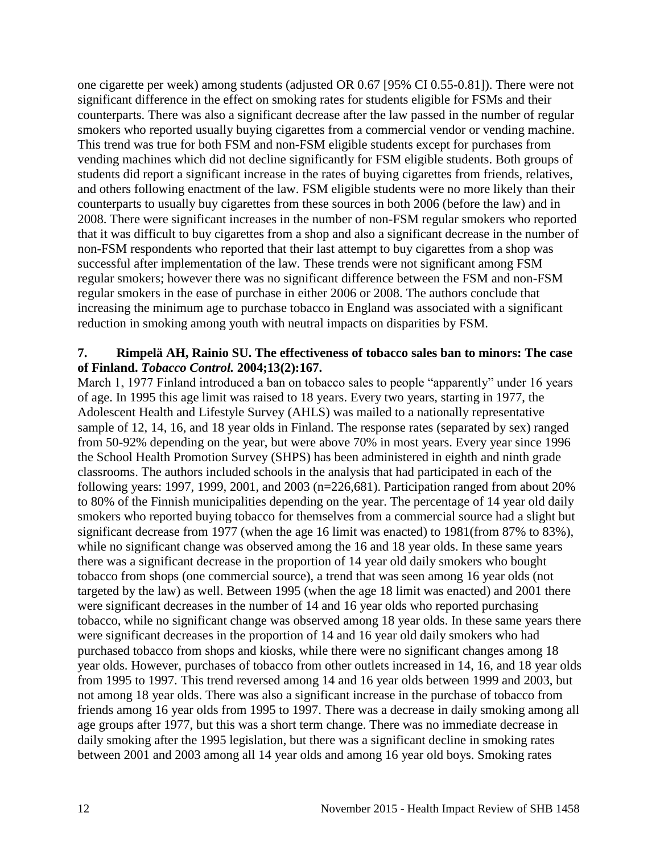one cigarette per week) among students (adjusted OR 0.67 [95% CI 0.55-0.81]). There were not significant difference in the effect on smoking rates for students eligible for FSMs and their counterparts. There was also a significant decrease after the law passed in the number of regular smokers who reported usually buying cigarettes from a commercial vendor or vending machine. This trend was true for both FSM and non-FSM eligible students except for purchases from vending machines which did not decline significantly for FSM eligible students. Both groups of students did report a significant increase in the rates of buying cigarettes from friends, relatives, and others following enactment of the law. FSM eligible students were no more likely than their counterparts to usually buy cigarettes from these sources in both 2006 (before the law) and in 2008. There were significant increases in the number of non-FSM regular smokers who reported that it was difficult to buy cigarettes from a shop and also a significant decrease in the number of non-FSM respondents who reported that their last attempt to buy cigarettes from a shop was successful after implementation of the law. These trends were not significant among FSM regular smokers; however there was no significant difference between the FSM and non-FSM regular smokers in the ease of purchase in either 2006 or 2008. The authors conclude that increasing the minimum age to purchase tobacco in England was associated with a significant reduction in smoking among youth with neutral impacts on disparities by FSM.

#### **7. Rimpelä AH, Rainio SU. The effectiveness of tobacco sales ban to minors: The case of Finland.** *Tobacco Control.* **2004;13(2):167.**

March 1, 1977 Finland introduced a ban on tobacco sales to people "apparently" under 16 years of age. In 1995 this age limit was raised to 18 years. Every two years, starting in 1977, the Adolescent Health and Lifestyle Survey (AHLS) was mailed to a nationally representative sample of 12, 14, 16, and 18 year olds in Finland. The response rates (separated by sex) ranged from 50-92% depending on the year, but were above 70% in most years. Every year since 1996 the School Health Promotion Survey (SHPS) has been administered in eighth and ninth grade classrooms. The authors included schools in the analysis that had participated in each of the following years: 1997, 1999, 2001, and 2003 ( $n=226,681$ ). Participation ranged from about 20% to 80% of the Finnish municipalities depending on the year. The percentage of 14 year old daily smokers who reported buying tobacco for themselves from a commercial source had a slight but significant decrease from 1977 (when the age 16 limit was enacted) to 1981(from 87% to 83%), while no significant change was observed among the 16 and 18 year olds. In these same years there was a significant decrease in the proportion of 14 year old daily smokers who bought tobacco from shops (one commercial source), a trend that was seen among 16 year olds (not targeted by the law) as well. Between 1995 (when the age 18 limit was enacted) and 2001 there were significant decreases in the number of 14 and 16 year olds who reported purchasing tobacco, while no significant change was observed among 18 year olds. In these same years there were significant decreases in the proportion of 14 and 16 year old daily smokers who had purchased tobacco from shops and kiosks, while there were no significant changes among 18 year olds. However, purchases of tobacco from other outlets increased in 14, 16, and 18 year olds from 1995 to 1997. This trend reversed among 14 and 16 year olds between 1999 and 2003, but not among 18 year olds. There was also a significant increase in the purchase of tobacco from friends among 16 year olds from 1995 to 1997. There was a decrease in daily smoking among all age groups after 1977, but this was a short term change. There was no immediate decrease in daily smoking after the 1995 legislation, but there was a significant decline in smoking rates between 2001 and 2003 among all 14 year olds and among 16 year old boys. Smoking rates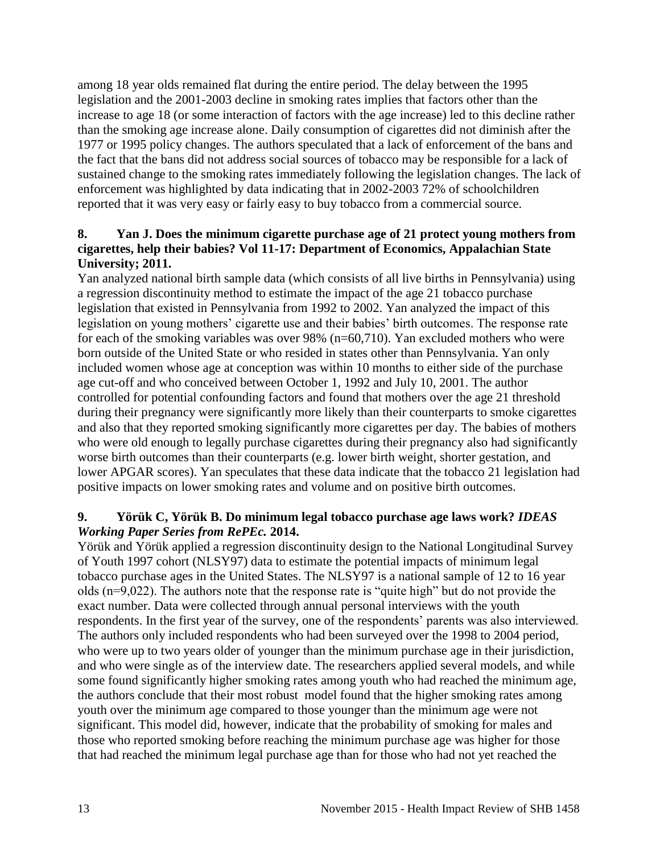among 18 year olds remained flat during the entire period. The delay between the 1995 legislation and the 2001-2003 decline in smoking rates implies that factors other than the increase to age 18 (or some interaction of factors with the age increase) led to this decline rather than the smoking age increase alone. Daily consumption of cigarettes did not diminish after the 1977 or 1995 policy changes. The authors speculated that a lack of enforcement of the bans and the fact that the bans did not address social sources of tobacco may be responsible for a lack of sustained change to the smoking rates immediately following the legislation changes. The lack of enforcement was highlighted by data indicating that in 2002-2003 72% of schoolchildren reported that it was very easy or fairly easy to buy tobacco from a commercial source.

# <span id="page-14-0"></span>**8. Yan J. Does the minimum cigarette purchase age of 21 protect young mothers from cigarettes, help their babies? Vol 11-17: Department of Economics, Appalachian State University; 2011.**

Yan analyzed national birth sample data (which consists of all live births in Pennsylvania) using a regression discontinuity method to estimate the impact of the age 21 tobacco purchase legislation that existed in Pennsylvania from 1992 to 2002. Yan analyzed the impact of this legislation on young mothers' cigarette use and their babies' birth outcomes. The response rate for each of the smoking variables was over 98% (n=60,710). Yan excluded mothers who were born outside of the United State or who resided in states other than Pennsylvania. Yan only included women whose age at conception was within 10 months to either side of the purchase age cut-off and who conceived between October 1, 1992 and July 10, 2001. The author controlled for potential confounding factors and found that mothers over the age 21 threshold during their pregnancy were significantly more likely than their counterparts to smoke cigarettes and also that they reported smoking significantly more cigarettes per day. The babies of mothers who were old enough to legally purchase cigarettes during their pregnancy also had significantly worse birth outcomes than their counterparts (e.g. lower birth weight, shorter gestation, and lower APGAR scores). Yan speculates that these data indicate that the tobacco 21 legislation had positive impacts on lower smoking rates and volume and on positive birth outcomes.

# **9. Yörük C, Yörük B. Do minimum legal tobacco purchase age laws work?** *IDEAS Working Paper Series from RePEc.* **2014.**

Yörük and Yörük applied a regression discontinuity design to the National Longitudinal Survey of Youth 1997 cohort (NLSY97) data to estimate the potential impacts of minimum legal tobacco purchase ages in the United States. The NLSY97 is a national sample of 12 to 16 year olds (n=9,022). The authors note that the response rate is "quite high" but do not provide the exact number. Data were collected through annual personal interviews with the youth respondents. In the first year of the survey, one of the respondents' parents was also interviewed. The authors only included respondents who had been surveyed over the 1998 to 2004 period, who were up to two years older of younger than the minimum purchase age in their jurisdiction, and who were single as of the interview date. The researchers applied several models, and while some found significantly higher smoking rates among youth who had reached the minimum age, the authors conclude that their most robust model found that the higher smoking rates among youth over the minimum age compared to those younger than the minimum age were not significant. This model did, however, indicate that the probability of smoking for males and those who reported smoking before reaching the minimum purchase age was higher for those that had reached the minimum legal purchase age than for those who had not yet reached the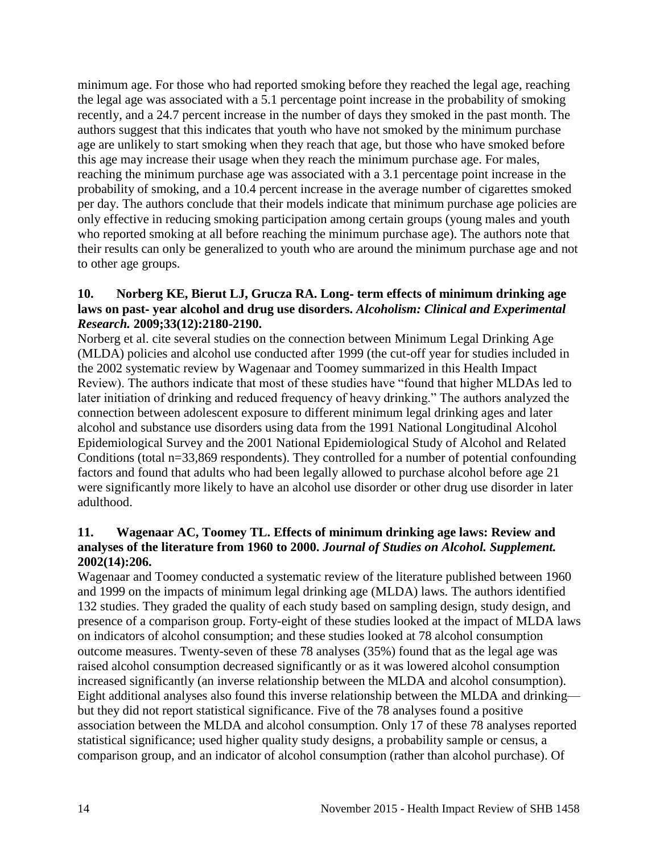minimum age. For those who had reported smoking before they reached the legal age, reaching the legal age was associated with a 5.1 percentage point increase in the probability of smoking recently, and a 24.7 percent increase in the number of days they smoked in the past month. The authors suggest that this indicates that youth who have not smoked by the minimum purchase age are unlikely to start smoking when they reach that age, but those who have smoked before this age may increase their usage when they reach the minimum purchase age. For males, reaching the minimum purchase age was associated with a 3.1 percentage point increase in the probability of smoking, and a 10.4 percent increase in the average number of cigarettes smoked per day. The authors conclude that their models indicate that minimum purchase age policies are only effective in reducing smoking participation among certain groups (young males and youth who reported smoking at all before reaching the minimum purchase age). The authors note that their results can only be generalized to youth who are around the minimum purchase age and not to other age groups.

## <span id="page-15-0"></span>**10. Norberg KE, Bierut LJ, Grucza RA. Long**‐ **term effects of minimum drinking age laws on past**‐ **year alcohol and drug use disorders.** *Alcoholism: Clinical and Experimental Research.* **2009;33(12):2180-2190.**

Norberg et al. cite several studies on the connection between Minimum Legal Drinking Age (MLDA) policies and alcohol use conducted after 1999 (the cut-off year for studies included in the 2002 systematic review by Wagenaar and Toomey summarized in this Health Impact Review). The authors indicate that most of these studies have "found that higher MLDAs led to later initiation of drinking and reduced frequency of heavy drinking." The authors analyzed the connection between adolescent exposure to different minimum legal drinking ages and later alcohol and substance use disorders using data from the 1991 National Longitudinal Alcohol Epidemiological Survey and the 2001 National Epidemiological Study of Alcohol and Related Conditions (total n=33,869 respondents). They controlled for a number of potential confounding factors and found that adults who had been legally allowed to purchase alcohol before age 21 were significantly more likely to have an alcohol use disorder or other drug use disorder in later adulthood.

## <span id="page-15-1"></span>**11. Wagenaar AC, Toomey TL. Effects of minimum drinking age laws: Review and analyses of the literature from 1960 to 2000.** *Journal of Studies on Alcohol. Supplement.*  **2002(14):206.**

Wagenaar and Toomey conducted a systematic review of the literature published between 1960 and 1999 on the impacts of minimum legal drinking age (MLDA) laws. The authors identified 132 studies. They graded the quality of each study based on sampling design, study design, and presence of a comparison group. Forty-eight of these studies looked at the impact of MLDA laws on indicators of alcohol consumption; and these studies looked at 78 alcohol consumption outcome measures. Twenty-seven of these 78 analyses (35%) found that as the legal age was raised alcohol consumption decreased significantly or as it was lowered alcohol consumption increased significantly (an inverse relationship between the MLDA and alcohol consumption). Eight additional analyses also found this inverse relationship between the MLDA and drinking but they did not report statistical significance. Five of the 78 analyses found a positive association between the MLDA and alcohol consumption. Only 17 of these 78 analyses reported statistical significance; used higher quality study designs, a probability sample or census, a comparison group, and an indicator of alcohol consumption (rather than alcohol purchase). Of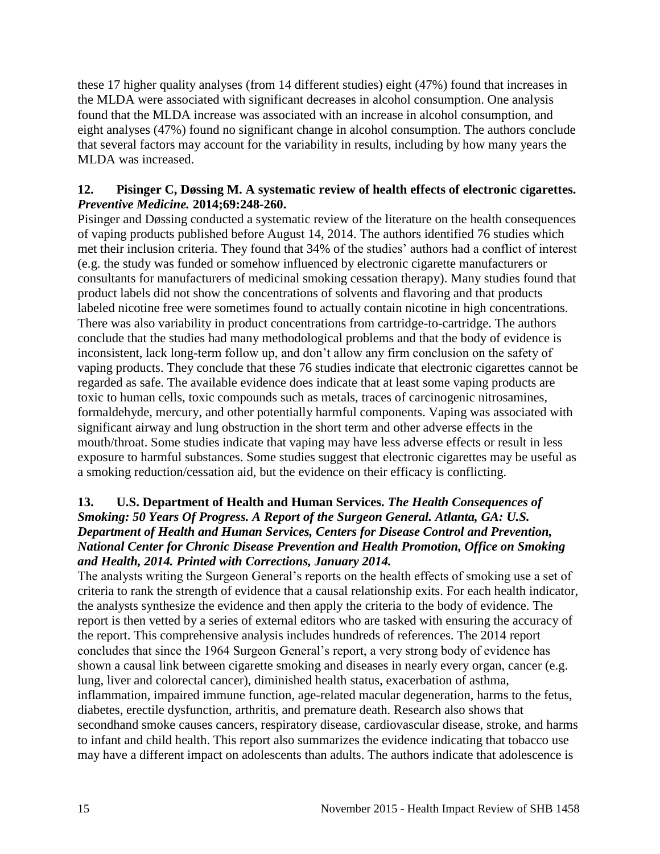these 17 higher quality analyses (from 14 different studies) eight (47%) found that increases in the MLDA were associated with significant decreases in alcohol consumption. One analysis found that the MLDA increase was associated with an increase in alcohol consumption, and eight analyses (47%) found no significant change in alcohol consumption. The authors conclude that several factors may account for the variability in results, including by how many years the MLDA was increased.

### <span id="page-16-0"></span>**12. Pisinger C, Døssing M. A systematic review of health effects of electronic cigarettes.**  *Preventive Medicine.* **2014;69:248-260.**

Pisinger and Døssing conducted a systematic review of the literature on the health consequences of vaping products published before August 14, 2014. The authors identified 76 studies which met their inclusion criteria. They found that 34% of the studies' authors had a conflict of interest (e.g. the study was funded or somehow influenced by electronic cigarette manufacturers or consultants for manufacturers of medicinal smoking cessation therapy). Many studies found that product labels did not show the concentrations of solvents and flavoring and that products labeled nicotine free were sometimes found to actually contain nicotine in high concentrations. There was also variability in product concentrations from cartridge-to-cartridge. The authors conclude that the studies had many methodological problems and that the body of evidence is inconsistent, lack long-term follow up, and don't allow any firm conclusion on the safety of vaping products. They conclude that these 76 studies indicate that electronic cigarettes cannot be regarded as safe. The available evidence does indicate that at least some vaping products are toxic to human cells, toxic compounds such as metals, traces of carcinogenic nitrosamines, formaldehyde, mercury, and other potentially harmful components. Vaping was associated with significant airway and lung obstruction in the short term and other adverse effects in the mouth/throat. Some studies indicate that vaping may have less adverse effects or result in less exposure to harmful substances. Some studies suggest that electronic cigarettes may be useful as a smoking reduction/cessation aid, but the evidence on their efficacy is conflicting.

# <span id="page-16-1"></span>**13. U.S. Department of Health and Human Services.** *The Health Consequences of Smoking: 50 Years Of Progress. A Report of the Surgeon General. Atlanta, GA: U.S. Department of Health and Human Services, Centers for Disease Control and Prevention, National Center for Chronic Disease Prevention and Health Promotion, Office on Smoking and Health, 2014. Printed with Corrections, January 2014.*

The analysts writing the Surgeon General's reports on the health effects of smoking use a set of criteria to rank the strength of evidence that a causal relationship exits. For each health indicator, the analysts synthesize the evidence and then apply the criteria to the body of evidence. The report is then vetted by a series of external editors who are tasked with ensuring the accuracy of the report. This comprehensive analysis includes hundreds of references. The 2014 report concludes that since the 1964 Surgeon General's report, a very strong body of evidence has shown a causal link between cigarette smoking and diseases in nearly every organ, cancer (e.g. lung, liver and colorectal cancer), diminished health status, exacerbation of asthma, inflammation, impaired immune function, age-related macular degeneration, harms to the fetus, diabetes, erectile dysfunction, arthritis, and premature death. Research also shows that secondhand smoke causes cancers, respiratory disease, cardiovascular disease, stroke, and harms to infant and child health. This report also summarizes the evidence indicating that tobacco use may have a different impact on adolescents than adults. The authors indicate that adolescence is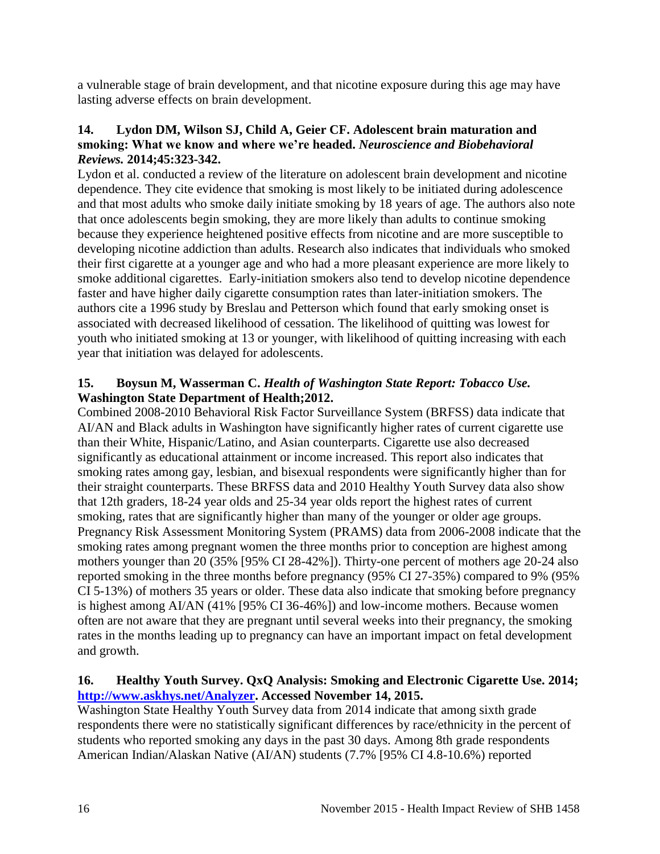a vulnerable stage of brain development, and that nicotine exposure during this age may have lasting adverse effects on brain development.

## <span id="page-17-0"></span>**14. Lydon DM, Wilson SJ, Child A, Geier CF. Adolescent brain maturation and smoking: What we know and where we're headed.** *Neuroscience and Biobehavioral Reviews.* **2014;45:323-342.**

Lydon et al. conducted a review of the literature on adolescent brain development and nicotine dependence. They cite evidence that smoking is most likely to be initiated during adolescence and that most adults who smoke daily initiate smoking by 18 years of age. The authors also note that once adolescents begin smoking, they are more likely than adults to continue smoking because they experience heightened positive effects from nicotine and are more susceptible to developing nicotine addiction than adults. Research also indicates that individuals who smoked their first cigarette at a younger age and who had a more pleasant experience are more likely to smoke additional cigarettes. Early-initiation smokers also tend to develop nicotine dependence faster and have higher daily cigarette consumption rates than later-initiation smokers. The authors cite a 1996 study by Breslau and Petterson which found that early smoking onset is associated with decreased likelihood of cessation. The likelihood of quitting was lowest for youth who initiated smoking at 13 or younger, with likelihood of quitting increasing with each year that initiation was delayed for adolescents.

# <span id="page-17-1"></span>**15. Boysun M, Wasserman C.** *Health of Washington State Report: Tobacco Use.* **Washington State Department of Health;2012.**

Combined 2008-2010 Behavioral Risk Factor Surveillance System (BRFSS) data indicate that AI/AN and Black adults in Washington have significantly higher rates of current cigarette use than their White, Hispanic/Latino, and Asian counterparts. Cigarette use also decreased significantly as educational attainment or income increased. This report also indicates that smoking rates among gay, lesbian, and bisexual respondents were significantly higher than for their straight counterparts. These BRFSS data and 2010 Healthy Youth Survey data also show that 12th graders, 18-24 year olds and 25-34 year olds report the highest rates of current smoking, rates that are significantly higher than many of the younger or older age groups. Pregnancy Risk Assessment Monitoring System (PRAMS) data from 2006-2008 indicate that the smoking rates among pregnant women the three months prior to conception are highest among mothers younger than 20 (35% [95% CI 28-42%]). Thirty-one percent of mothers age 20-24 also reported smoking in the three months before pregnancy (95% CI 27-35%) compared to 9% (95% CI 5-13%) of mothers 35 years or older. These data also indicate that smoking before pregnancy is highest among AI/AN (41% [95% CI 36-46%]) and low-income mothers. Because women often are not aware that they are pregnant until several weeks into their pregnancy, the smoking rates in the months leading up to pregnancy can have an important impact on fetal development and growth.

# <span id="page-17-2"></span>**16. Healthy Youth Survey. QxQ Analysis: Smoking and Electronic Cigarette Use. 2014; [http://www.askhys.net/Analyzer.](http://www.askhys.net/Analyzer) Accessed November 14, 2015.**

Washington State Healthy Youth Survey data from 2014 indicate that among sixth grade respondents there were no statistically significant differences by race/ethnicity in the percent of students who reported smoking any days in the past 30 days. Among 8th grade respondents American Indian/Alaskan Native (AI/AN) students (7.7% [95% CI 4.8-10.6%) reported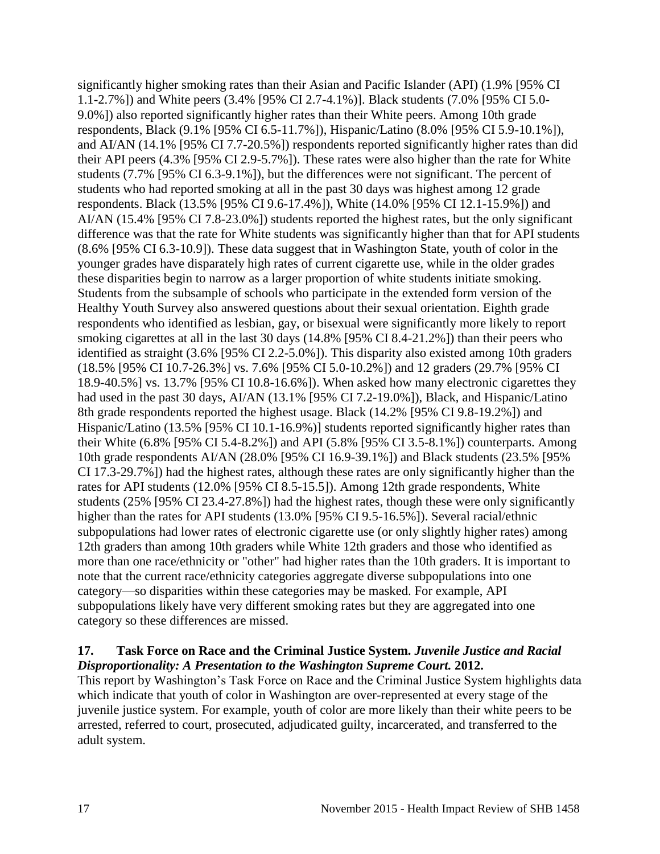significantly higher smoking rates than their Asian and Pacific Islander (API) (1.9% [95% CI 1.1-2.7%]) and White peers (3.4% [95% CI 2.7-4.1%)]. Black students (7.0% [95% CI 5.0- 9.0%]) also reported significantly higher rates than their White peers. Among 10th grade respondents, Black (9.1% [95% CI 6.5-11.7%]), Hispanic/Latino (8.0% [95% CI 5.9-10.1%]), and AI/AN (14.1% [95% CI 7.7-20.5%]) respondents reported significantly higher rates than did their API peers (4.3% [95% CI 2.9-5.7%]). These rates were also higher than the rate for White students (7.7% [95% CI 6.3-9.1%]), but the differences were not significant. The percent of students who had reported smoking at all in the past 30 days was highest among 12 grade respondents. Black (13.5% [95% CI 9.6-17.4%]), White (14.0% [95% CI 12.1-15.9%]) and AI/AN (15.4% [95% CI 7.8-23.0%]) students reported the highest rates, but the only significant difference was that the rate for White students was significantly higher than that for API students (8.6% [95% CI 6.3-10.9]). These data suggest that in Washington State, youth of color in the younger grades have disparately high rates of current cigarette use, while in the older grades these disparities begin to narrow as a larger proportion of white students initiate smoking. Students from the subsample of schools who participate in the extended form version of the Healthy Youth Survey also answered questions about their sexual orientation. Eighth grade respondents who identified as lesbian, gay, or bisexual were significantly more likely to report smoking cigarettes at all in the last 30 days (14.8% [95% CI 8.4-21.2%]) than their peers who identified as straight (3.6% [95% CI 2.2-5.0%]). This disparity also existed among 10th graders (18.5% [95% CI 10.7-26.3%] vs. 7.6% [95% CI 5.0-10.2%]) and 12 graders (29.7% [95% CI 18.9-40.5%] vs. 13.7% [95% CI 10.8-16.6%]). When asked how many electronic cigarettes they had used in the past 30 days, AI/AN (13.1% [95% CI 7.2-19.0%]), Black, and Hispanic/Latino 8th grade respondents reported the highest usage. Black (14.2% [95% CI 9.8-19.2%]) and Hispanic/Latino (13.5% [95% CI 10.1-16.9%)] students reported significantly higher rates than their White (6.8% [95% CI 5.4-8.2%]) and API (5.8% [95% CI 3.5-8.1%]) counterparts. Among 10th grade respondents AI/AN (28.0% [95% CI 16.9-39.1%]) and Black students (23.5% [95% CI 17.3-29.7%]) had the highest rates, although these rates are only significantly higher than the rates for API students (12.0% [95% CI 8.5-15.5]). Among 12th grade respondents, White students (25% [95% CI 23.4-27.8%]) had the highest rates, though these were only significantly higher than the rates for API students (13.0% [95% CI 9.5-16.5%]). Several racial/ethnic subpopulations had lower rates of electronic cigarette use (or only slightly higher rates) among 12th graders than among 10th graders while White 12th graders and those who identified as more than one race/ethnicity or "other" had higher rates than the 10th graders. It is important to note that the current race/ethnicity categories aggregate diverse subpopulations into one category—so disparities within these categories may be masked. For example, API subpopulations likely have very different smoking rates but they are aggregated into one category so these differences are missed.

### <span id="page-18-0"></span>**17. Task Force on Race and the Criminal Justice System.** *Juvenile Justice and Racial Disproportionality: A Presentation to the Washington Supreme Court.* **2012.**

This report by Washington's Task Force on Race and the Criminal Justice System highlights data which indicate that youth of color in Washington are over-represented at every stage of the juvenile justice system. For example, youth of color are more likely than their white peers to be arrested, referred to court, prosecuted, adjudicated guilty, incarcerated, and transferred to the adult system.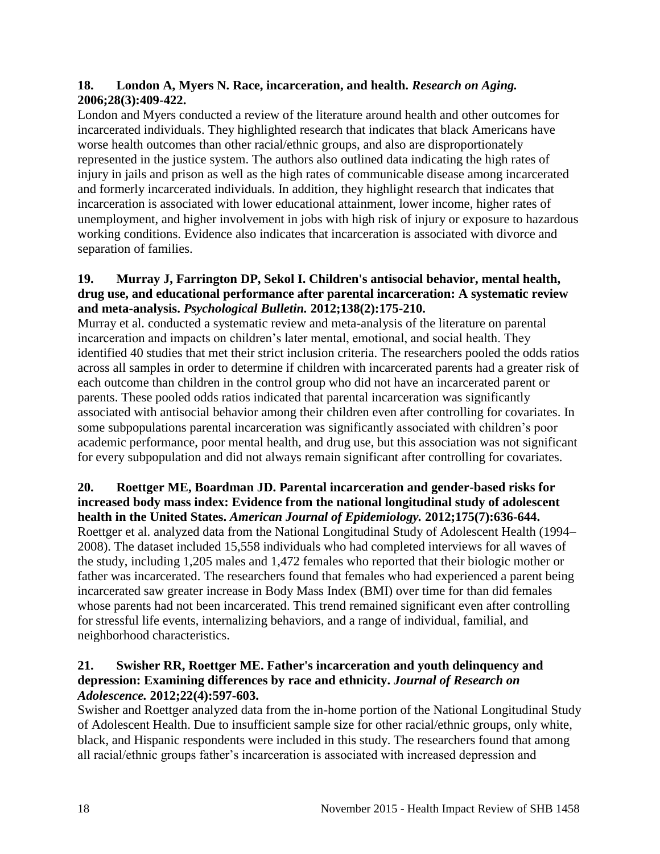# <span id="page-19-0"></span>**18. London A, Myers N. Race, incarceration, and health.** *Research on Aging.*  **2006;28(3):409-422.**

London and Myers conducted a review of the literature around health and other outcomes for incarcerated individuals. They highlighted research that indicates that black Americans have worse health outcomes than other racial/ethnic groups, and also are disproportionately represented in the justice system. The authors also outlined data indicating the high rates of injury in jails and prison as well as the high rates of communicable disease among incarcerated and formerly incarcerated individuals. In addition, they highlight research that indicates that incarceration is associated with lower educational attainment, lower income, higher rates of unemployment, and higher involvement in jobs with high risk of injury or exposure to hazardous working conditions. Evidence also indicates that incarceration is associated with divorce and separation of families.

#### **19. Murray J, Farrington DP, Sekol I. Children's antisocial behavior, mental health, drug use, and educational performance after parental incarceration: A systematic review and meta-analysis.** *Psychological Bulletin.* **2012;138(2):175-210.**

Murray et al. conducted a systematic review and meta-analysis of the literature on parental incarceration and impacts on children's later mental, emotional, and social health. They identified 40 studies that met their strict inclusion criteria. The researchers pooled the odds ratios across all samples in order to determine if children with incarcerated parents had a greater risk of each outcome than children in the control group who did not have an incarcerated parent or parents. These pooled odds ratios indicated that parental incarceration was significantly associated with antisocial behavior among their children even after controlling for covariates. In some subpopulations parental incarceration was significantly associated with children's poor academic performance, poor mental health, and drug use, but this association was not significant for every subpopulation and did not always remain significant after controlling for covariates.

#### **20. Roettger ME, Boardman JD. Parental incarceration and gender-based risks for increased body mass index: Evidence from the national longitudinal study of adolescent health in the United States.** *American Journal of Epidemiology.* **2012;175(7):636-644.**

Roettger et al. analyzed data from the National Longitudinal Study of Adolescent Health (1994– 2008). The dataset included 15,558 individuals who had completed interviews for all waves of the study, including 1,205 males and 1,472 females who reported that their biologic mother or father was incarcerated. The researchers found that females who had experienced a parent being incarcerated saw greater increase in Body Mass Index (BMI) over time for than did females whose parents had not been incarcerated. This trend remained significant even after controlling for stressful life events, internalizing behaviors, and a range of individual, familial, and neighborhood characteristics.

# **21. Swisher RR, Roettger ME. Father's incarceration and youth delinquency and depression: Examining differences by race and ethnicity.** *Journal of Research on Adolescence.* **2012;22(4):597-603.**

Swisher and Roettger analyzed data from the in-home portion of the National Longitudinal Study of Adolescent Health. Due to insufficient sample size for other racial/ethnic groups, only white, black, and Hispanic respondents were included in this study. The researchers found that among all racial/ethnic groups father's incarceration is associated with increased depression and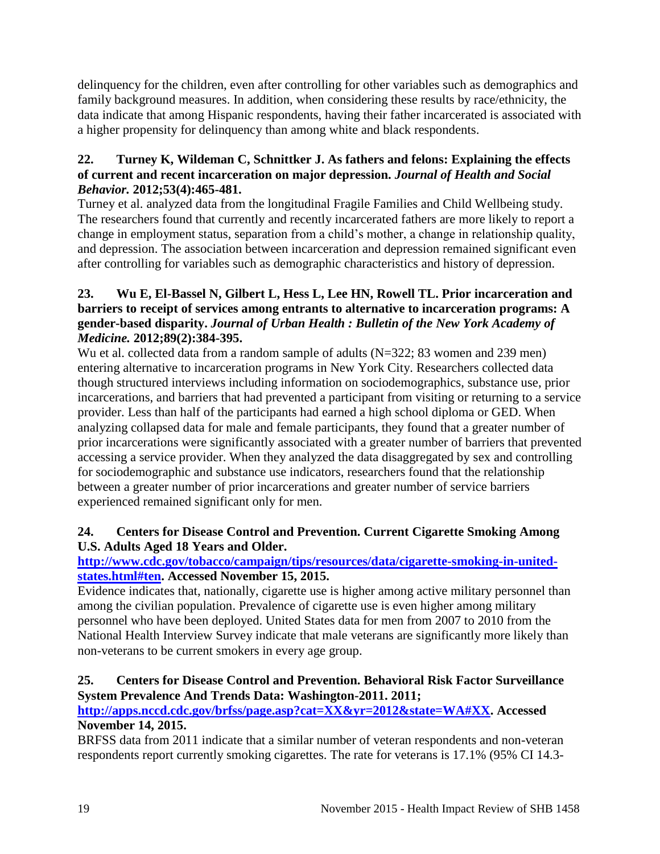delinquency for the children, even after controlling for other variables such as demographics and family background measures. In addition, when considering these results by race/ethnicity, the data indicate that among Hispanic respondents, having their father incarcerated is associated with a higher propensity for delinquency than among white and black respondents.

# **22. Turney K, Wildeman C, Schnittker J. As fathers and felons: Explaining the effects of current and recent incarceration on major depression.** *Journal of Health and Social Behavior.* **2012;53(4):465-481.**

Turney et al. analyzed data from the longitudinal Fragile Families and Child Wellbeing study. The researchers found that currently and recently incarcerated fathers are more likely to report a change in employment status, separation from a child's mother, a change in relationship quality, and depression. The association between incarceration and depression remained significant even after controlling for variables such as demographic characteristics and history of depression.

# **23. Wu E, El-Bassel N, Gilbert L, Hess L, Lee HN, Rowell TL. Prior incarceration and barriers to receipt of services among entrants to alternative to incarceration programs: A gender-based disparity.** *Journal of Urban Health : Bulletin of the New York Academy of Medicine.* **2012;89(2):384-395.**

Wu et al. collected data from a random sample of adults (N=322; 83 women and 239 men) entering alternative to incarceration programs in New York City. Researchers collected data though structured interviews including information on sociodemographics, substance use, prior incarcerations, and barriers that had prevented a participant from visiting or returning to a service provider. Less than half of the participants had earned a high school diploma or GED. When analyzing collapsed data for male and female participants, they found that a greater number of prior incarcerations were significantly associated with a greater number of barriers that prevented accessing a service provider. When they analyzed the data disaggregated by sex and controlling for sociodemographic and substance use indicators, researchers found that the relationship between a greater number of prior incarcerations and greater number of service barriers experienced remained significant only for men.

# <span id="page-20-0"></span>**24. Centers for Disease Control and Prevention. Current Cigarette Smoking Among U.S. Adults Aged 18 Years and Older.**

# **[http://www.cdc.gov/tobacco/campaign/tips/resources/data/cigarette-smoking-in-united](http://www.cdc.gov/tobacco/campaign/tips/resources/data/cigarette-smoking-in-united-states.html#ten)[states.html#ten.](http://www.cdc.gov/tobacco/campaign/tips/resources/data/cigarette-smoking-in-united-states.html#ten) Accessed November 15, 2015.**

Evidence indicates that, nationally, cigarette use is higher among active military personnel than among the civilian population. Prevalence of cigarette use is even higher among military personnel who have been deployed. United States data for men from 2007 to 2010 from the National Health Interview Survey indicate that male veterans are significantly more likely than non-veterans to be current smokers in every age group.

# <span id="page-20-1"></span>**25. Centers for Disease Control and Prevention. Behavioral Risk Factor Surveillance System Prevalence And Trends Data: Washington-2011. 2011;**

# **[http://apps.nccd.cdc.gov/brfss/page.asp?cat=XX&yr=2012&state=WA#XX.](http://apps.nccd.cdc.gov/brfss/page.asp?cat=XX&yr=2012&state=WA#XX) Accessed November 14, 2015.**

BRFSS data from 2011 indicate that a similar number of veteran respondents and non-veteran respondents report currently smoking cigarettes. The rate for veterans is 17.1% (95% CI 14.3-